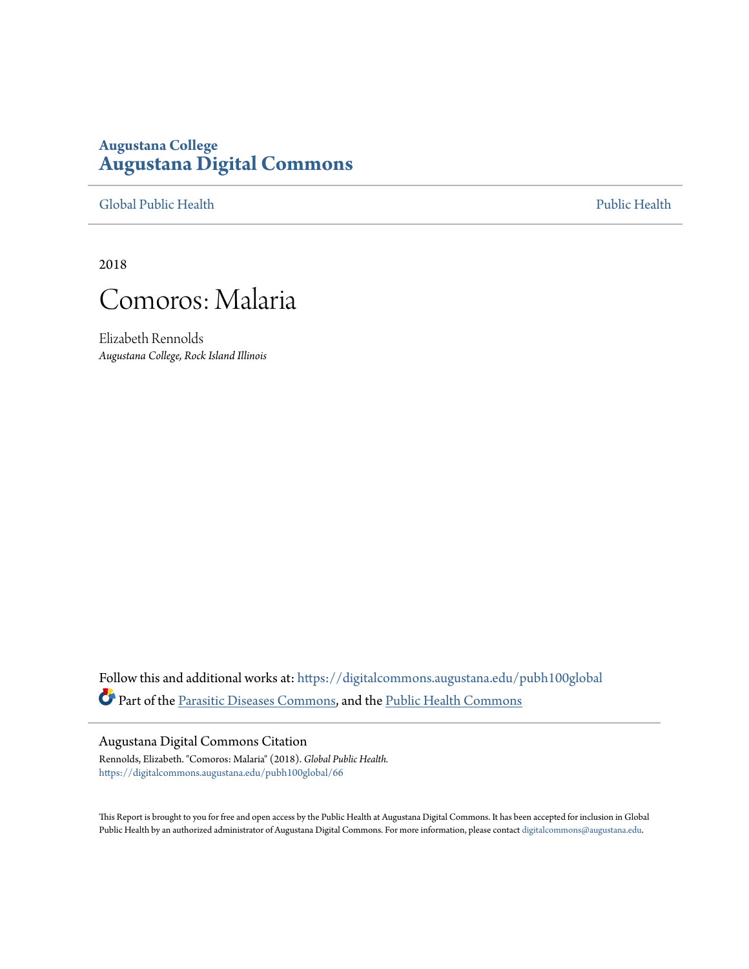# **Augustana College [Augustana Digital Commons](https://digitalcommons.augustana.edu?utm_source=digitalcommons.augustana.edu%2Fpubh100global%2F66&utm_medium=PDF&utm_campaign=PDFCoverPages)**

[Global Public Health](https://digitalcommons.augustana.edu/pubh100global?utm_source=digitalcommons.augustana.edu%2Fpubh100global%2F66&utm_medium=PDF&utm_campaign=PDFCoverPages) [Public Health](https://digitalcommons.augustana.edu/publichealth?utm_source=digitalcommons.augustana.edu%2Fpubh100global%2F66&utm_medium=PDF&utm_campaign=PDFCoverPages)

2018



Elizabeth Rennolds *Augustana College, Rock Island Illinois*

Follow this and additional works at: [https://digitalcommons.augustana.edu/pubh100global](https://digitalcommons.augustana.edu/pubh100global?utm_source=digitalcommons.augustana.edu%2Fpubh100global%2F66&utm_medium=PDF&utm_campaign=PDFCoverPages) Part of the [Parasitic Diseases Commons,](http://network.bepress.com/hgg/discipline/983?utm_source=digitalcommons.augustana.edu%2Fpubh100global%2F66&utm_medium=PDF&utm_campaign=PDFCoverPages) and the [Public Health Commons](http://network.bepress.com/hgg/discipline/738?utm_source=digitalcommons.augustana.edu%2Fpubh100global%2F66&utm_medium=PDF&utm_campaign=PDFCoverPages)

#### Augustana Digital Commons Citation

Rennolds, Elizabeth. "Comoros: Malaria" (2018). *Global Public Health.* [https://digitalcommons.augustana.edu/pubh100global/66](https://digitalcommons.augustana.edu/pubh100global/66?utm_source=digitalcommons.augustana.edu%2Fpubh100global%2F66&utm_medium=PDF&utm_campaign=PDFCoverPages)

This Report is brought to you for free and open access by the Public Health at Augustana Digital Commons. It has been accepted for inclusion in Global Public Health by an authorized administrator of Augustana Digital Commons. For more information, please contact [digitalcommons@augustana.edu.](mailto:digitalcommons@augustana.edu)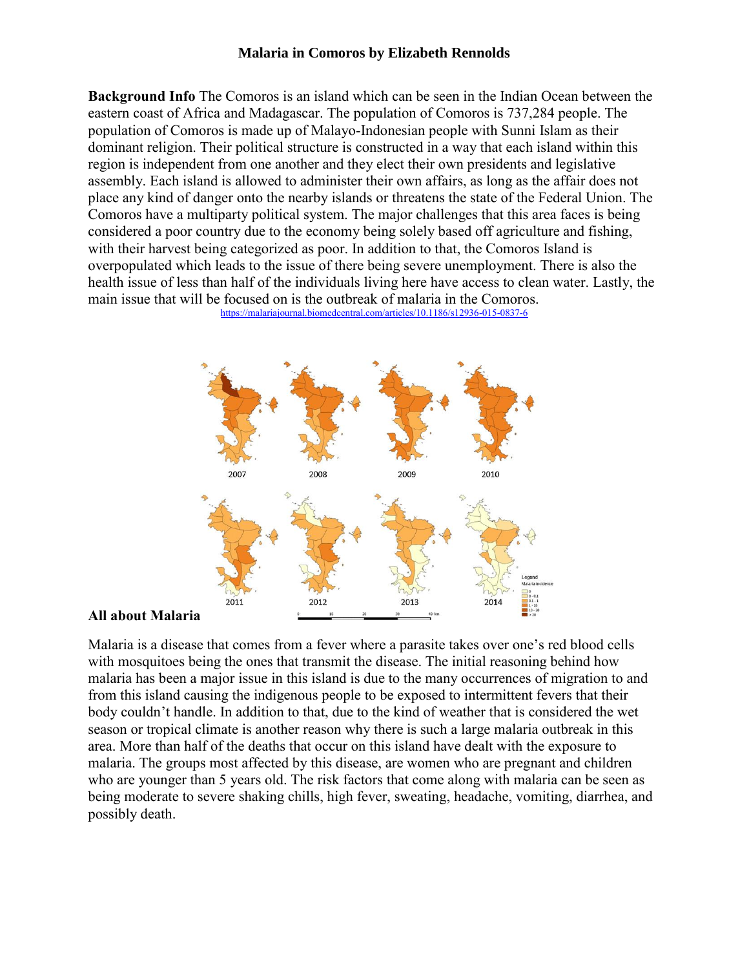## **Malaria in Comoros by Elizabeth Rennolds**

**Background Info** The Comoros is an island which can be seen in the Indian Ocean between the eastern coast of Africa and Madagascar. The population of Comoros is 737,284 people. The population of Comoros is made up of Malayo-Indonesian people with Sunni Islam as their dominant religion. Their political structure is constructed in a way that each island within this region is independent from one another and they elect their own presidents and legislative assembly. Each island is allowed to administer their own affairs, as long as the affair does not place any kind of danger onto the nearby islands or threatens the state of the Federal Union. The Comoros have a multiparty political system. The major challenges that this area faces is being considered a poor country due to the economy being solely based off agriculture and fishing, with their harvest being categorized as poor. In addition to that, the Comoros Island is overpopulated which leads to the issue of there being severe unemployment. There is also the health issue of less than half of the individuals living here have access to clean water. Lastly, the main issue that will be focused on is the outbreak of malaria in the Comoros.







Malaria is a disease that comes from a fever where a parasite takes over one's red blood cells with mosquitoes being the ones that transmit the disease. The initial reasoning behind how malaria has been a major issue in this island is due to the many occurrences of migration to and from this island causing the indigenous people to be exposed to intermittent fevers that their body couldn't handle. In addition to that, due to the kind of weather that is considered the wet season or tropical climate is another reason why there is such a large malaria outbreak in this area. More than half of the deaths that occur on this island have dealt with the exposure to malaria. The groups most affected by this disease, are women who are pregnant and children who are younger than 5 years old. The risk factors that come along with malaria can be seen as being moderate to severe shaking chills, high fever, sweating, headache, vomiting, diarrhea, and possibly death.